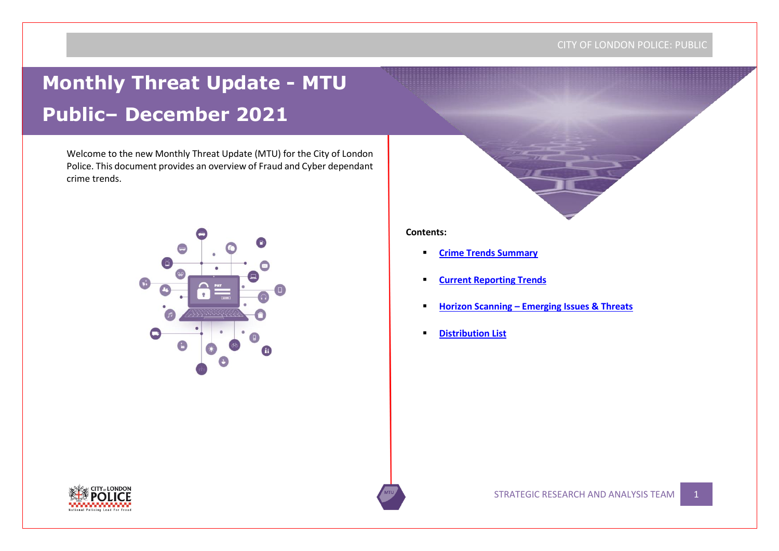# **Monthly Threat Update - MTU Public– December 2021**

Welcome to the new Monthly Threat Update (MTU) for the City of London Police. This document provides an overview of Fraud and Cyber dependant crime trends.



#### **Contents:**

- **[Crime Trends Summary](#page-1-0)**
- **Current Reporting Trends**
- **Horizon Scanning – Emerging Issues & Threats**
- **[Distribution List](#page-5-0)**

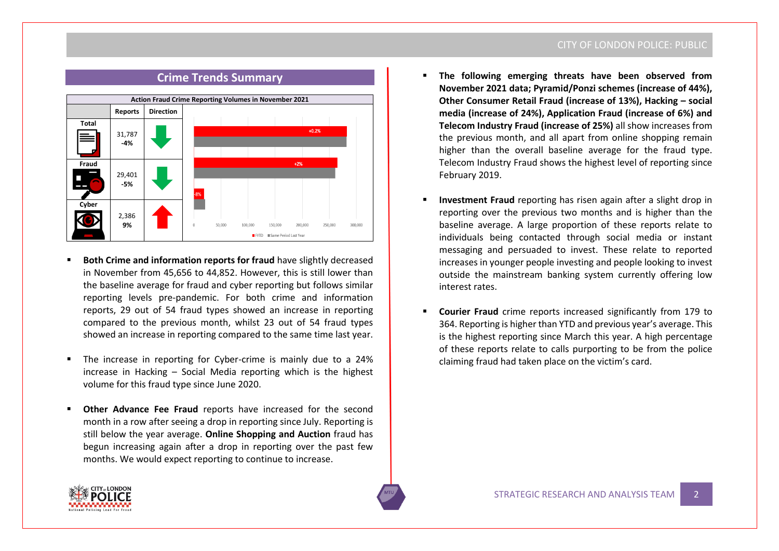# **Crime Trends Summary**

<span id="page-1-0"></span>

- **Both Crime and information reports for fraud have slightly decreased** in November from 45,656 to 44,852. However, this is still lower than the baseline average for fraud and cyber reporting but follows similar reporting levels pre-pandemic. For both crime and information reports, 29 out of 54 fraud types showed an increase in reporting compared to the previous month, whilst 23 out of 54 fraud types showed an increase in reporting compared to the same time last year.
- The increase in reporting for Cyber-crime is mainly due to a 24% increase in Hacking – Social Media reporting which is the highest volume for this fraud type since June 2020.
- **Other Advance Fee Fraud** reports have increased for the second month in a row after seeing a drop in reporting since July. Reporting is still below the year average. **Online Shopping and Auction** fraud has begun increasing again after a drop in reporting over the past few months. We would expect reporting to continue to increase.

#### CITY OF LONDON POLICE: PUBLIC

- The following emerging threats have been observed from **November 2021 data; Pyramid/Ponzi schemes (increase of 44%), Other Consumer Retail Fraud (increase of 13%), Hacking – social media (increase of 24%), Application Fraud (increase of 6%) and Telecom Industry Fraud (increase of 25%)** all show increases from the previous month, and all apart from online shopping remain higher than the overall baseline average for the fraud type. Telecom Industry Fraud shows the highest level of reporting since February 2019.
- **Investment Fraud** reporting has risen again after a slight drop in reporting over the previous two months and is higher than the baseline average. A large proportion of these reports relate to individuals being contacted through social media or instant messaging and persuaded to invest. These relate to reported increases in younger people investing and people looking to invest outside the mainstream banking system currently offering low interest rates.
- **Courier Fraud** crime reports increased significantly from 179 to 364. Reporting is higher than YTD and previous year's average. This is the highest reporting since March this year. A high percentage of these reports relate to calls purporting to be from the police claiming fraud had taken place on the victim's card.

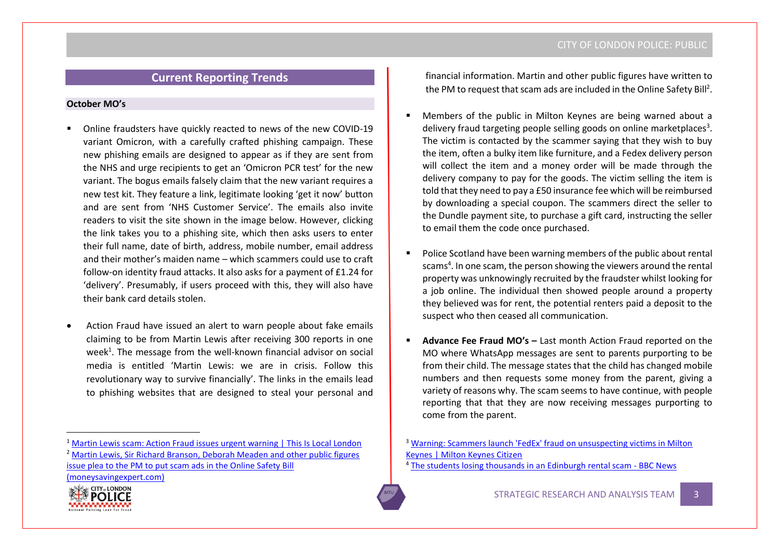# **Current Reporting Trends**

#### **October MO's**

- Online fraudsters have quickly reacted to news of the new COVID-19 variant Omicron, with a carefully crafted phishing campaign. These new phishing emails are designed to appear as if they are sent from the NHS and urge recipients to get an 'Omicron PCR test' for the new variant. The bogus emails falsely claim that the new variant requires a new test kit. They feature a link, legitimate looking 'get it now' button and are sent from 'NHS Customer Service'. The emails also invite readers to visit the site shown in the image below. However, clicking the link takes you to a phishing site, which then asks users to enter their full name, date of birth, address, mobile number, email address and their mother's maiden name – which scammers could use to craft follow-on identity fraud attacks. It also asks for a payment of £1.24 for 'delivery'. Presumably, if users proceed with this, they will also have their bank card details stolen.
- Action Fraud have issued an alert to warn people about fake emails claiming to be from Martin Lewis after receiving 300 reports in one week<sup>1</sup>. The message from the well-known financial advisor on social media is entitled 'Martin Lewis: we are in crisis. Follow this revolutionary way to survive financially'. The links in the emails lead to phishing websites that are designed to steal your personal and

<sup>1</sup> [Martin Lewis scam: Action Fraud issues urgent warning | This Is Local London](https://www.thisislocallondon.co.uk/news/national/uk-today/19769512.martin-lewis-scam-action-fraud-issues-urgent-warning/)

[issue plea to the PM to put scam ads in the Online Safety Bill](https://www.moneysavingexpert.com/news/2021/11/martin-lewis--sir-richard-branson--deborah-meaden-plus-11-other-/?utm_source=MSE_Newsletter&utm_medium=email&utm_term=16-Nov-21-50704396-10138&source=CRM-MSETIP-50704396&utm_campaign=nt-oneliners-one&utm_content=7) 

[\(moneysavingexpert.com\)](https://www.moneysavingexpert.com/news/2021/11/martin-lewis--sir-richard-branson--deborah-meaden-plus-11-other-/?utm_source=MSE_Newsletter&utm_medium=email&utm_term=16-Nov-21-50704396-10138&source=CRM-MSETIP-50704396&utm_campaign=nt-oneliners-one&utm_content=7)



financial information. Martin and other public figures have written to the PM to request that scam ads are included in the Online Safety Bill<sup>2</sup>.

- Members of the public in Milton Keynes are being warned about a delivery fraud targeting people selling goods on online marketplaces<sup>3</sup>. The victim is contacted by the scammer saying that they wish to buy the item, often a bulky item like furniture, and a Fedex delivery person will collect the item and a money order will be made through the delivery company to pay for the goods. The victim selling the item is told that they need to pay a £50 insurance fee which will be reimbursed by downloading a special coupon. The scammers direct the seller to the Dundle payment site, to purchase a gift card, instructing the seller to email them the code once purchased.
- Police Scotland have been warning members of the public about rental scams<sup>4</sup>. In one scam, the person showing the viewers around the rental property was unknowingly recruited by the fraudster whilst looking for a job online. The individual then showed people around a property they believed was for rent, the potential renters paid a deposit to the suspect who then ceased all communication.
- **Advance Fee Fraud MO's Last month Action Fraud reported on the** MO where WhatsApp messages are sent to parents purporting to be from their child. The message states that the child has changed mobile numbers and then requests some money from the parent, giving a variety of reasons why. The scam seems to have continue, with people reporting that that they are now receiving messages purporting to come from the parent.

<sup>4</sup> [The students losing thousands in an Edinburgh rental scam -](https://www.bbc.co.uk/news/uk-scotland-59262549) BBC News

<sup>&</sup>lt;sup>2</sup> Martin Lewis, Sir Richard Branson, Deborah Meaden and other public figures

<sup>3</sup> [Warning: Scammers launch 'FedEx' fraud on unsuspecting victims in Milton](https://www.miltonkeynes.co.uk/news/crime/warning-scammers-launch-fedex-fraud-on-unsuspecting-victims-in-milton-keynes-3478687)  [Keynes | Milton Keynes Citizen](https://www.miltonkeynes.co.uk/news/crime/warning-scammers-launch-fedex-fraud-on-unsuspecting-victims-in-milton-keynes-3478687)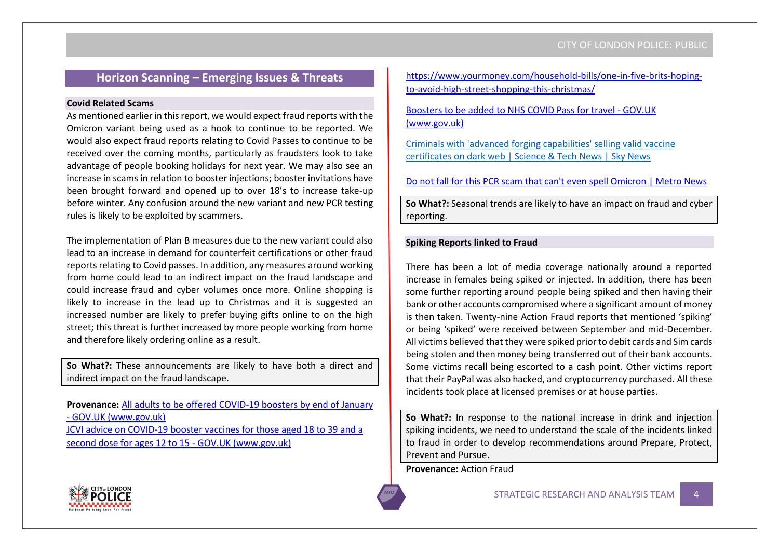# **Horizon Scanning – Emerging Issues & Threats**

#### **Covid Related Scams**

As mentioned earlier in this report, we would expect fraud reports with the Omicron variant being used as a hook to continue to be reported. We would also expect fraud reports relating to Covid Passes to continue to be received over the coming months, particularly as fraudsters look to take advantage of people booking holidays for next year. We may also see an increase in scams in relation to booster injections; booster invitations have been brought forward and opened up to over 18's to increase take-up before winter. Any confusion around the new variant and new PCR testing rules is likely to be exploited by scammers.

The implementation of Plan B measures due to the new variant could also lead to an increase in demand for counterfeit certifications or other fraud reports relating to Covid passes. In addition, any measures around working from home could lead to an indirect impact on the fraud landscape and could increase fraud and cyber volumes once more. Online shopping is likely to increase in the lead up to Christmas and it is suggested an increased number are likely to prefer buying gifts online to on the high street; this threat is further increased by more people working from home and therefore likely ordering online as a result.

**So What?:** These announcements are likely to have both a direct and indirect impact on the fraud landscape.

**Provenance:** [All adults to be offered COVID-19 boosters by end of January](https://www.gov.uk/government/news/all-adults-to-be-offered-covid-19-boosters-by-end-of-january?utm_medium=email&utm_campaign=govuk-notifications&utm_source=a03ec5c9-fad2-4dac-9bde-eeb0aefbb0c7&utm_content=daily)  - [GOV.UK \(www.gov.uk\)](https://www.gov.uk/government/news/all-adults-to-be-offered-covid-19-boosters-by-end-of-january?utm_medium=email&utm_campaign=govuk-notifications&utm_source=a03ec5c9-fad2-4dac-9bde-eeb0aefbb0c7&utm_content=daily) [JCVI advice on COVID-19 booster vaccines for those aged 18 to 39 and a](https://www.gov.uk/government/news/jcvi-advice-on-covid-19-booster-vaccines-for-those-aged-18-to-39-and-a-second-dose-for-ages-12-to-15?utm_medium=email&utm_campaign=govuk-notifications&utm_source=6162d53e-3f98-4b6f-8042-800180e6c57f&utm_content=daily)  [second dose for ages 12 to 15 -](https://www.gov.uk/government/news/jcvi-advice-on-covid-19-booster-vaccines-for-those-aged-18-to-39-and-a-second-dose-for-ages-12-to-15?utm_medium=email&utm_campaign=govuk-notifications&utm_source=6162d53e-3f98-4b6f-8042-800180e6c57f&utm_content=daily) GOV.UK (www.gov.uk)

[https://www.yourmoney.com/household-bills/one-in-five-brits-hoping](https://www.yourmoney.com/household-bills/one-in-five-brits-hoping-to-avoid-high-street-shopping-this-christmas/)[to-avoid-high-street-shopping-this-christmas/](https://www.yourmoney.com/household-bills/one-in-five-brits-hoping-to-avoid-high-street-shopping-this-christmas/)

[Boosters to be added to NHS COVID Pass for travel -](https://www.gov.uk/government/news/boosters-to-be-added-to-nhs-covid-pass-for-travel?utm_medium=email&utm_campaign=govuk-notifications&utm_source=b88d14c9-0bbf-47eb-b91b-50c6f456efa8&utm_content=daily) GOV.UK [\(www.gov.uk\)](https://www.gov.uk/government/news/boosters-to-be-added-to-nhs-covid-pass-for-travel?utm_medium=email&utm_campaign=govuk-notifications&utm_source=b88d14c9-0bbf-47eb-b91b-50c6f456efa8&utm_content=daily)

[Criminals with 'advanced forging capabilities' selling valid vaccine](https://news.sky.com/story/criminals-with-advanced-forging-capabilities-selling-valid-vaccine-certificates-on-dark-web-12479156)  [certificates on dark web | Science & Tech News | Sky News](https://news.sky.com/story/criminals-with-advanced-forging-capabilities-selling-valid-vaccine-certificates-on-dark-web-12479156)

[Do not fall for this PCR scam that can't even spell Omicron | Metro News](https://metro.co.uk/2021/12/01/do-not-fall-for-this-pcr-scam-that-cant-even-spell-omicron-15696310/)

**So What?:** Seasonal trends are likely to have an impact on fraud and cyber reporting.

#### **Spiking Reports linked to Fraud**

There has been a lot of media coverage nationally around a reported increase in females being spiked or injected. In addition, there has been some further reporting around people being spiked and then having their bank or other accounts compromised where a significant amount of money is then taken. Twenty-nine Action Fraud reports that mentioned 'spiking' or being 'spiked' were received between September and mid-December. All victims believed that they were spiked prior to debit cards and Sim cards being stolen and then money being transferred out of their bank accounts. Some victims recall being escorted to a cash point. Other victims report that their PayPal was also hacked, and cryptocurrency purchased. All these incidents took place at licensed premises or at house parties.

**So What?:** In response to the national increase in drink and injection spiking incidents, we need to understand the scale of the incidents linked to fraud in order to develop recommendations around Prepare, Protect, Prevent and Pursue.

**Provenance:** Action Fraud

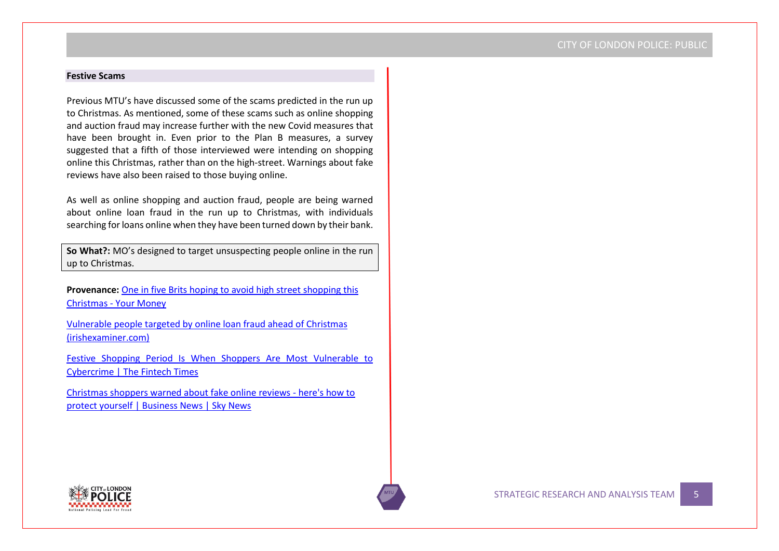#### **Festive Scams**

Previous MTU's have discussed some of the scams predicted in the run up to Christmas. As mentioned, some of these scams such as online shopping and auction fraud may increase further with the new Covid measures that have been brought in. Even prior to the Plan B measures, a survey suggested that a fifth of those interviewed were intending on shopping online this Christmas, rather than on the high-street. Warnings about fake reviews have also been raised to those buying online.

As well as online shopping and auction fraud, people are being warned about online loan fraud in the run up to Christmas, with individuals searching for loans online when they have been turned down by their bank.

**So What?:** MO's designed to target unsuspecting people online in the run up to Christmas.

**Provenance:** [One in five Brits hoping to avoid high street shopping this](https://www.yourmoney.com/household-bills/one-in-five-brits-hoping-to-avoid-high-street-shopping-this-christmas/)  Christmas - [Your Money](https://www.yourmoney.com/household-bills/one-in-five-brits-hoping-to-avoid-high-street-shopping-this-christmas/)

[Vulnerable people targeted by online loan fraud ahead of Christmas](https://www.irishexaminer.com/news/courtandcrime/arid-40757595.html)  [\(irishexaminer.com\)](https://www.irishexaminer.com/news/courtandcrime/arid-40757595.html)

[Festive Shopping Period Is When Shoppers Are Most Vulnerable to](https://thefintechtimes.com/festive-shopping-period-is-when-shoppers-are-most-vulnerable-to-cybercrime/)  [Cybercrime | The Fintech Times](https://thefintechtimes.com/festive-shopping-period-is-when-shoppers-are-most-vulnerable-to-cybercrime/)

[Christmas shoppers warned about fake online reviews -](https://news.sky.com/story/christmas-shoppers-warned-about-fake-online-reviews-heres-how-to-protect-yourself-12483814) here's how to [protect yourself | Business News | Sky News](https://news.sky.com/story/christmas-shoppers-warned-about-fake-online-reviews-heres-how-to-protect-yourself-12483814)